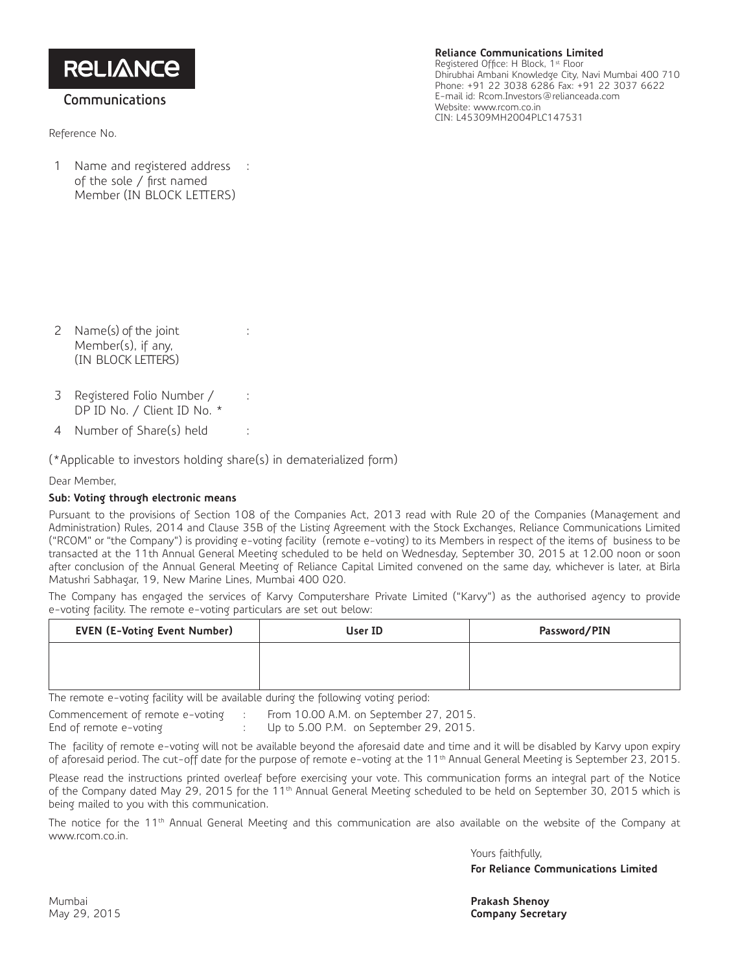**RELIANCE** 

## **Communications**

Reference No.

**Reliance Communications Limited** Registered Office: H Block, 1st Floor Dhirubhai Ambani Knowledge City, Navi Mumbai 400 710 Phone: +91 22 3038 6286 Fax: +91 22 3037 6622

E-mail id: Rcom.Investors@relianceada.com Website: www.rcom.co.in CIN: L45309MH2004PLC147531

1 Name and registered address : of the sole / first named Member (IN BLOCK LETTERS)

- 2 Name(s) of the joint Member(s), if any, (IN BLOCK LETTERS)
- 3 Registered Folio Number / DP ID No. / Client ID No. \*
- 4 Number of Share(s) held :

 $(*$ Applicable to investors holding share(s) in dematerialized form)

:

:

Dear Member,

## **Sub: Voting through electronic means**

Pursuant to the provisions of Section 108 of the Companies Act, 2013 read with Rule 20 of the Companies (Management and Administration) Rules, 2014 and Clause 35B of the Listing Agreement with the Stock Exchanges, Reliance Communications Limited ("RCOM" or "the Company") is providing e-voting facility (remote e-voting) to its Members in respect of the items of business to be transacted at the 11th Annual General Meeting scheduled to be held on Wednesday, September 30, 2015 at 12.00 noon or soon after conclusion of the Annual General Meeting of Reliance Capital Limited convened on the same day, whichever is later, at Birla Matushri Sabhagar, 19, New Marine Lines, Mumbai 400 020.

The Company has engaged the services of Karvy Computershare Private Limited ("Karvy") as the authorised agency to provide e-voting facility. The remote e-voting particulars are set out below:

| <b>EVEN (E-Voting Event Number)</b> | User ID | Password/PIN |
|-------------------------------------|---------|--------------|
|                                     |         |              |
|                                     |         |              |

The remote e-voting facility will be available during the following voting period:

Commencement of remote e-voting : From 10.00 A.M. on September 27, 2015.

End of remote e-voting : Up to 5.00 P.M. on September 29, 2015.

The facility of remote e-voting will not be available beyond the aforesaid date and time and it will be disabled by Karvy upon expiry of aforesaid period. The cut-off date for the purpose of remote e-voting at the 11<sup>th</sup> Annual General Meeting is September 23, 2015.

Please read the instructions printed overleaf before exercising your vote. This communication forms an integral part of the Notice of the Company dated May 29, 2015 for the 11<sup>th</sup> Annual General Meeting scheduled to be held on September 30, 2015 which is being mailed to you with this communication.

The notice for the 11<sup>th</sup> Annual General Meeting and this communication are also available on the website of the Company at www.rcom.co.in.

> Yours faithfully, **For Reliance Communications Limited**

Mumbai **Prakash Shenoy Company Secretary**